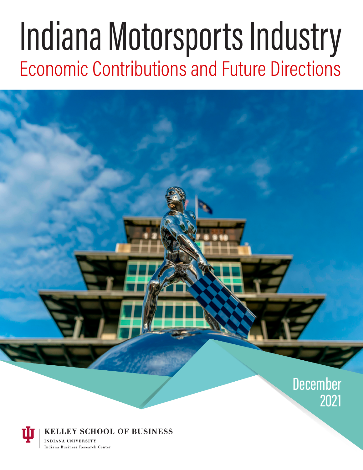# Indiana Motorsports Industry Economic Contributions and Future Directions



**KELLEY SCHOOL OF BUSINESS** 

**INDIANA HNIVERSITY** Indiana Business Research Center 2021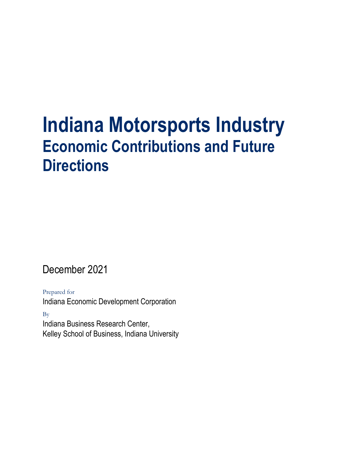# **Indiana Motorsports Industry Economic Contributions and Future Directions**

December 2021

Prepared for Indiana Economic Development Corporation

By Indiana Business Research Center, Kelley School of Business, Indiana University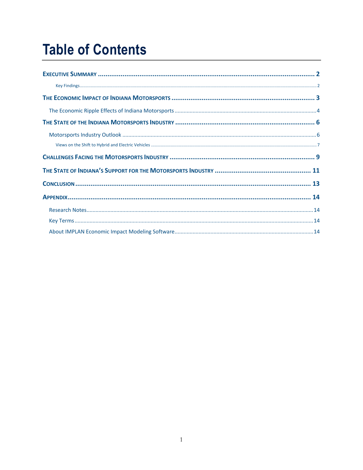### **Table of Contents**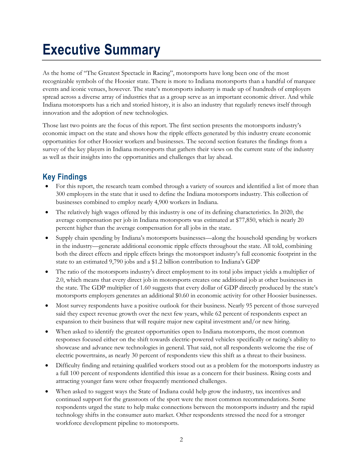## <span id="page-3-0"></span>**Executive Summary**

As the home of "The Greatest Spectacle in Racing", motorsports have long been one of the most recognizable symbols of the Hoosier state. There is more to Indiana motorsports than a handful of marquee events and iconic venues, however. The state's motorsports industry is made up of hundreds of employers spread across a diverse array of industries that as a group serve as an important economic driver. And while Indiana motorsports has a rich and storied history, it is also an industry that regularly renews itself through innovation and the adoption of new technologies.

Those last two points are the focus of this report. The first section presents the motorsports industry's economic impact on the state and shows how the ripple effects generated by this industry create economic opportunities for other Hoosier workers and businesses. The second section features the findings from a survey of the key players in Indiana motorsports that gathers their views on the current state of the industry as well as their insights into the opportunities and challenges that lay ahead.

### <span id="page-3-1"></span>**Key Findings**

- For this report, the research team combed through a variety of sources and identified a list of more than 300 employers in the state that it used to define the Indiana motorsports industry. This collection of businesses combined to employ nearly 4,900 workers in Indiana.
- The relatively high wages offered by this industry is one of its defining characteristics. In 2020, the average compensation per job in Indiana motorsports was estimated at \$77,850, which is nearly 20 percent higher than the average compensation for all jobs in the state.
- Supply chain spending by Indiana's motorsports businesses—along the household spending by workers in the industry—generate additional economic ripple effects throughout the state. All told, combining both the direct effects and ripple effects brings the motorsport industry's full economic footprint in the state to an estimated 9,790 jobs and a \$1.2 billion contribution to Indiana's GDP
- The ratio of the motorsports industry's direct employment to its total jobs impact yields a multiplier of 2.0, which means that every direct job in motorsports creates one additional job at other businesses in the state. The GDP multiplier of 1.60 suggests that every dollar of GDP directly produced by the state's motorsports employers generates an additional \$0.60 in economic activity for other Hoosier businesses.
- Most survey respondents have a positive outlook for their business. Nearly 95 percent of those surveyed said they expect revenue growth over the next few years, while 62 percent of respondents expect an expansion to their business that will require major new capital investment and/or new hiring.
- When asked to identify the greatest opportunities open to Indiana motorsports, the most common responses focused either on the shift towards electric-powered vehicles specifically or racing's ability to showcase and advance new technologies in general. That said, not all respondents welcome the rise of electric powertrains, as nearly 30 percent of respondents view this shift as a threat to their business.
- Difficulty finding and retaining qualified workers stood out as a problem for the motorsports industry as a full 100 percent of respondents identified this issue as a concern for their business. Rising costs and attracting younger fans were other frequently mentioned challenges.
- When asked to suggest ways the State of Indiana could help grow the industry, tax incentives and continued support for the grassroots of the sport were the most common recommendations. Some respondents urged the state to help make connections between the motorsports industry and the rapid technology shifts in the consumer auto market. Other respondents stressed the need for a stronger workforce development pipeline to motorsports.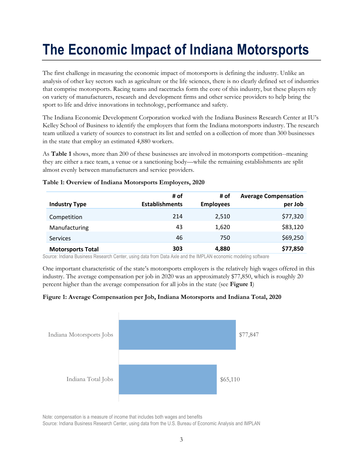# <span id="page-4-0"></span>**The Economic Impact of Indiana Motorsports**

The first challenge in measuring the economic impact of motorsports is defining the industry. Unlike an analysis of other key sectors such as agriculture or the life sciences, there is no clearly defined set of industries that comprise motorsports. Racing teams and racetracks form the core of this industry, but these players rely on variety of manufacturers, research and development firms and other service providers to help bring the sport to life and drive innovations in technology, performance and safety.

The Indiana Economic Development Corporation worked with the Indiana Business Research Center at IU's Kelley School of Business to identify the employers that form the Indiana motorsports industry. The research team utilized a variety of sources to construct its list and settled on a collection of more than 300 businesses in the state that employ an estimated 4,880 workers.

As **[Table 1](#page-4-1)** shows, more than 200 of these businesses are involved in motorsports competition--meaning they are either a race team, a venue or a sanctioning body—while the remaining establishments are split almost evenly between manufacturers and service providers.

| <b>Industry Type</b>     | # of<br><b>Establishments</b> | # of<br><b>Employees</b> | <b>Average Compensation</b><br>per Job |
|--------------------------|-------------------------------|--------------------------|----------------------------------------|
| Competition              | 214                           | 2,510                    | \$77,320                               |
| Manufacturing            | 43                            | 1,620                    | \$83,120                               |
| <b>Services</b>          | 46                            | 750                      | \$69,250                               |
| <b>Motorsports Total</b> | 303                           | 4,880                    | \$77,850                               |

#### <span id="page-4-1"></span>**Table 1: Overview of Indiana Motorsports Employers, 2020**

Source: Indiana Business Research Center, using data from Data Axle and the IMPLAN economic modeling software

One important characteristic of the state's motorsports employers is the relatively high wages offered in this industry. The average compensation per job in 2020 was an approximately \$77,850, which is roughly 20 percent higher than the average compensation for all jobs in the state (see **[Figure 1](#page-4-2)**)

#### <span id="page-4-2"></span>**Figure 1: Average Compensation per Job, Indiana Motorsports and Indiana Total, 2020**



Note: compensation is a measure of income that includes both wages and benefits

Source: Indiana Business Research Center, using data from the U.S. Bureau of Economic Analysis and IMPLAN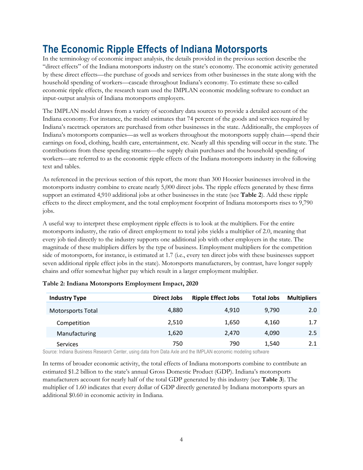### <span id="page-5-0"></span>**The Economic Ripple Effects of Indiana Motorsports**

In the terminology of economic impact analysis, the details provided in the previous section describe the "direct effects" of the Indiana motorsports industry on the state's economy. The economic activity generated by these direct effects—the purchase of goods and services from other businesses in the state along with the household spending of workers—cascade throughout Indiana's economy. To estimate these so-called economic ripple effects, the research team used the IMPLAN economic modeling software to conduct an input-output analysis of Indiana motorsports employers.

The IMPLAN model draws from a variety of secondary data sources to provide a detailed account of the Indiana economy. For instance, the model estimates that 74 percent of the goods and services required by Indiana's racetrack operators are purchased from other businesses in the state. Additionally, the employees of Indiana's motorsports companies—as well as workers throughout the motorsports supply chain—spend their earnings on food, clothing, health care, entertainment, etc. Nearly all this spending will occur in the state. The contributions from these spending streams—the supply chain purchases and the household spending of workers—are referred to as the economic ripple effects of the Indiana motorsports industry in the following text and tables.

As referenced in the previous section of this report, the more than 300 Hoosier businesses involved in the motorsports industry combine to create nearly 5,000 direct jobs. The ripple effects generated by these firms support an estimated 4,910 additional jobs at other businesses in the state (see **[Table 2](#page-5-1)**). Add these ripple effects to the direct employment, and the total employment footprint of Indiana motorsports rises to 9,790 jobs.

A useful way to interpret these employment ripple effects is to look at the multipliers. For the entire motorsports industry, the ratio of direct employment to total jobs yields a multiplier of 2.0, meaning that every job tied directly to the industry supports one additional job with other employers in the state. The magnitude of these multipliers differs by the type of business. Employment multipliers for the competition side of motorsports, for instance, is estimated at 1.7 (i.e., every ten direct jobs with these businesses support seven additional ripple effect jobs in the state). Motorsports manufacturers, by contrast, have longer supply chains and offer somewhat higher pay which result in a larger employment multiplier.

| <b>Industry Type</b>     | <b>Direct Jobs</b> | <b>Ripple Effect Jobs</b> | <b>Total Jobs</b> | <b>Multipliers</b> |
|--------------------------|--------------------|---------------------------|-------------------|--------------------|
| <b>Motorsports Total</b> | 4,880              | 4.910                     | 9,790             | 2.0                |
| Competition              | 2,510              | 1,650                     | 4.160             | 1.7                |
| Manufacturing            | 1,620              | 2.470                     | 4.090             | 2.5                |
| Services                 | 750                | 790                       | 1,540             | 2.1                |

<span id="page-5-1"></span>

|  | Table 2: Indiana Motorsports Employment Impact, 2020 |
|--|------------------------------------------------------|
|  |                                                      |

Source: Indiana Business Research Center, using data from Data Axle and the IMPLAN economic modeling software

In terms of broader economic activity, the total effects of Indiana motorsports combine to contribute an estimated \$1.2 billion to the state's annual Gross Domestic Product (GDP). Indiana's motorsports manufacturers account for nearly half of the total GDP generated by this industry (see **[Table 3](#page-6-0)**). The multiplier of 1.60 indicates that every dollar of GDP directly generated by Indiana motorsports spurs an additional \$0.60 in economic activity in Indiana.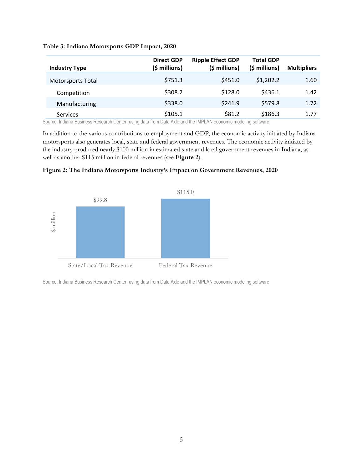#### <span id="page-6-0"></span>**Table 3: Indiana Motorsports GDP Impact, 2020**

| <b>Industry Type</b>     | <b>Direct GDP</b><br>(\$ millions) | <b>Ripple Effect GDP</b><br>(\$ millions) | <b>Total GDP</b><br>$(5 millions)$ | <b>Multipliers</b> |
|--------------------------|------------------------------------|-------------------------------------------|------------------------------------|--------------------|
| <b>Motorsports Total</b> | \$751.3                            | \$451.0                                   | \$1,202.2                          | 1.60               |
| Competition              | \$308.2                            | \$128.0                                   | \$436.1                            | 1.42               |
| Manufacturing            | \$338.0                            | \$241.9                                   | \$579.8                            | 1.72               |
| <b>Services</b>          | \$105.1                            | \$81.2                                    | \$186.3                            | 1.77               |

Source: Indiana Business Research Center, using data from Data Axle and the IMPLAN economic modeling software

In addition to the various contributions to employment and GDP, the economic activity initiated by Indiana motorsports also generates local, state and federal government revenues. The economic activity initiated by the industry produced nearly \$100 million in estimated state and local government revenues in Indiana, as well as another \$115 million in federal revenues (see **[Figure 2](#page-6-1)**).

<span id="page-6-1"></span>



Source: Indiana Business Research Center, using data from Data Axle and the IMPLAN economic modeling software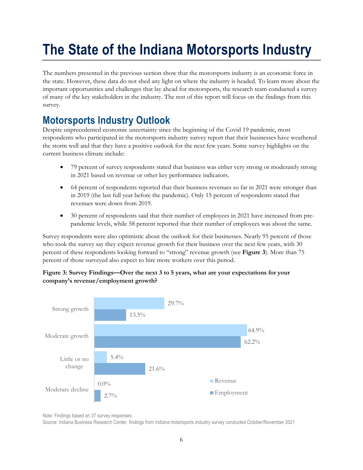# <span id="page-7-0"></span>**The State of the Indiana Motorsports Industry**

The numbers presented in the previous section show that the motorsports industry is an economic force in the state. However, these data do not shed any light on where the industry is headed. To learn more about the important opportunities and challenges that lay ahead for motorsports, the research team conducted a survey of many of the key stakeholders in the industry. The rest of this report will focus on the findings from this survey.

### <span id="page-7-1"></span>**Motorsports Industry Outlook**

Despite unprecedented economic uncertainty since the beginning of the Covid 19 pandemic, most respondents who participated in the motorsports industry survey report that their businesses have weathered the storm well and that they have a positive outlook for the next few years. Some survey highlights on the current business climate include:

- 79 percent of survey respondents stated that business was either very strong or moderately strong in 2021 based on revenue or other key performance indicators.
- 64 percent of respondents reported that their business revenues so far in 2021 were stronger than in 2019 (the last full year before the pandemic). Only 15 percent of respondents stated that revenues were down from 2019.
- 30 percent of respondents said that their number of employees in 2021 have increased from prepandemic levels, while 58 percent reported that their number of employees was about the same.

Survey respondents were also optimistic about the outlook for their businesses. Nearly 95 percent of those who took the survey say they expect revenue growth for their business over the next few years, with 30 percent of these respondents looking forward to "strong" revenue growth (see **[Figure 3](#page-7-2)**). More than 75 percent of those surveyed also expect to hire more workers over this period.

#### <span id="page-7-2"></span>**Figure 3: Survey Findings—Over the next 3 to 5 years, what are your expectations for your company's revenue/employment growth?**



Note: Findings based on 37 survey responses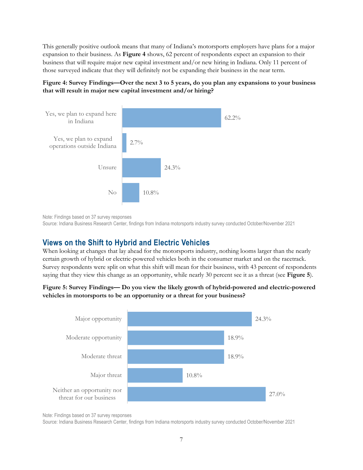This generally positive outlook means that many of Indiana's motorsports employers have plans for a major expansion to their business. As **[Figure 4](#page-8-1)** shows, 62 percent of respondents expect an expansion to their business that will require major new capital investment and/or new hiring in Indiana. Only 11 percent of those surveyed indicate that they will definitely not be expanding their business in the near term.

#### <span id="page-8-1"></span>**Figure 4: Survey Findings—Over the next 3 to 5 years, do you plan any expansions to your business that will result in major new capital investment and/or hiring?**



Note: Findings based on 37 survey responses

Source: Indiana Business Research Center, findings from Indiana motorsports industry survey conducted October/November 2021

#### <span id="page-8-0"></span>**Views on the Shift to Hybrid and Electric Vehicles**

When looking at changes that lay ahead for the motorsports industry, nothing looms larger than the nearly certain growth of hybrid or electric-powered vehicles both in the consumer market and on the racetrack. Survey respondents were split on what this shift will mean for their business, with 43 percent of respondents saying that they view this change as an opportunity, while nearly 30 percent see it as a threat (see **[Figure 5](#page-8-2)**).

#### <span id="page-8-2"></span>**Figure 5: Survey Findings— Do you view the likely growth of hybrid-powered and electric-powered vehicles in motorsports to be an opportunity or a threat for your business?**



Note: Findings based on 37 survey responses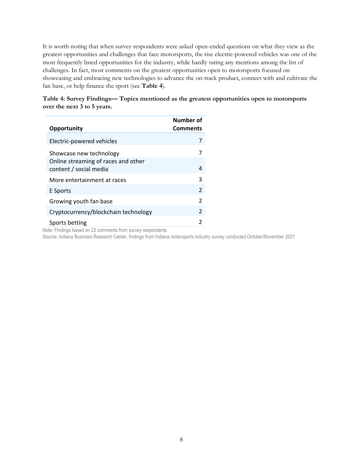It is worth noting that when survey respondents were asked open-ended questions on what they view as the greatest opportunities and challenges that face motorsports, the rise electric-powered vehicles was one of the most frequently listed opportunities for the industry, while hardly rating any mentions among the list of challenges. In fact, most comments on the greatest opportunities open to motorsports focused on showcasing and embracing new technologies to advance the on-track product, connect with and cultivate the fan base, or help finance the sport (see **[Table 4](#page-9-0)**).

<span id="page-9-0"></span>**Table 4: Survey Findings— Topics mentioned as the greatest opportunities open to motorsports over the next 3 to 5 years.**

| Opportunity                                                   | Number of<br><b>Comments</b> |
|---------------------------------------------------------------|------------------------------|
| Electric-powered vehicles                                     | 7                            |
| Showcase new technology                                       |                              |
| Online streaming of races and other<br>content / social media | 4                            |
| More entertainment at races                                   | 3                            |
| E Sports                                                      | $\mathfrak{p}$               |
| Growing youth fan base                                        | $\mathfrak{p}$               |
| Cryptocurrency/blockchain technology                          | $\mathfrak{p}$               |
| Sports betting                                                |                              |

Note: Findings based on 22 comments from survey respondents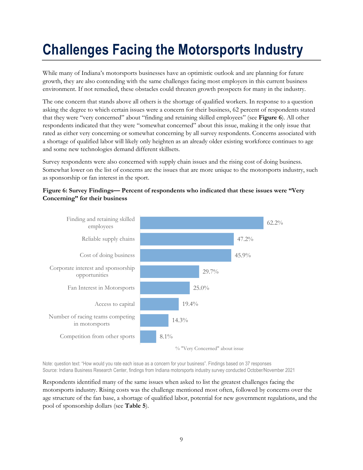## <span id="page-10-0"></span>**Challenges Facing the Motorsports Industry**

While many of Indiana's motorsports businesses have an optimistic outlook and are planning for future growth, they are also contending with the same challenges facing most employers in this current business environment. If not remedied, these obstacles could threaten growth prospects for many in the industry.

The one concern that stands above all others is the shortage of qualified workers. In response to a question asking the degree to which certain issues were a concern for their business, 62 percent of respondents stated that they were "very concerned" about "finding and retaining skilled employees" (see **[Figure 6](#page-10-1)**). All other respondents indicated that they were "somewhat concerned" about this issue, making it the only issue that rated as either very concerning or somewhat concerning by all survey respondents. Concerns associated with a shortage of qualified labor will likely only heighten as an already older existing workforce continues to age and some new technologies demand different skillsets.

Survey respondents were also concerned with supply chain issues and the rising cost of doing business. Somewhat lower on the list of concerns are the issues that are more unique to the motorsports industry, such as sponsorship or fan interest in the sport.

#### <span id="page-10-1"></span>**Figure 6: Survey Findings— Percent of respondents who indicated that these issues were "Very Concerning" for their business**



Note: question text: "How would you rate each issue as a concern for your business". Findings based on 37 responses Source: Indiana Business Research Center, findings from Indiana motorsports industry survey conducted October/November 2021

Respondents identified many of the same issues when asked to list the greatest challenges facing the motorsports industry. Rising costs was the challenge mentioned most often, followed by concerns over the age structure of the fan base, a shortage of qualified labor, potential for new government regulations, and the pool of sponsorship dollars (see **[Table 5](#page-11-0)**).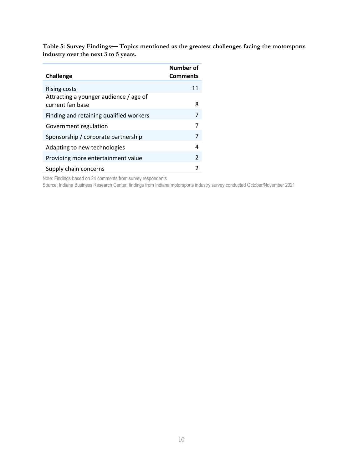<span id="page-11-0"></span>**Table 5: Survey Findings— Topics mentioned as the greatest challenges facing the motorsports industry over the next 3 to 5 years.**

| <b>Challenge</b>                                           | Number of<br><b>Comments</b> |
|------------------------------------------------------------|------------------------------|
| Rising costs                                               | 11                           |
| Attracting a younger audience / age of<br>current fan base | 8                            |
| Finding and retaining qualified workers                    | 7                            |
| Government regulation                                      | 7                            |
| Sponsorship / corporate partnership                        | 7                            |
| Adapting to new technologies                               | 4                            |
| Providing more entertainment value                         | $\mathfrak{p}$               |
| Supply chain concerns                                      | 2                            |

Note: Findings based on 24 comments from survey respondents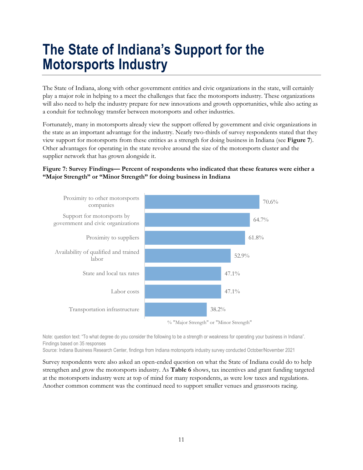### <span id="page-12-0"></span>**The State of Indiana's Support for the Motorsports Industry**

The State of Indiana, along with other government entities and civic organizations in the state, will certainly play a major role in helping to a meet the challenges that face the motorsports industry. These organizations will also need to help the industry prepare for new innovations and growth opportunities, while also acting as a conduit for technology transfer between motorsports and other industries.

Fortunately, many in motorsports already view the support offered by government and civic organizations in the state as an important advantage for the industry. Nearly two-thirds of survey respondents stated that they view support for motorsports from these entities as a strength for doing business in Indiana (see **[Figure 7](#page-12-1)**). Other advantages for operating in the state revolve around the size of the motorsports cluster and the supplier network that has grown alongside it.

#### <span id="page-12-1"></span>**Figure 7: Survey Findings— Percent of respondents who indicated that these features were either a "Major Strength" or "Minor Strength" for doing business in Indiana**



Note: question text: "To what degree do you consider the following to be a strength or weakness for operating your business in Indiana". Findings based on 35 responses

Source: Indiana Business Research Center, findings from Indiana motorsports industry survey conducted October/November 2021

Survey respondents were also asked an open-ended question on what the State of Indiana could do to help strengthen and grow the motorsports industry. As **[Table 6](#page-13-0)** shows, tax incentives and grant funding targeted at the motorsports industry were at top of mind for many respondents, as were low taxes and regulations. Another common comment was the continued need to support smaller venues and grassroots racing.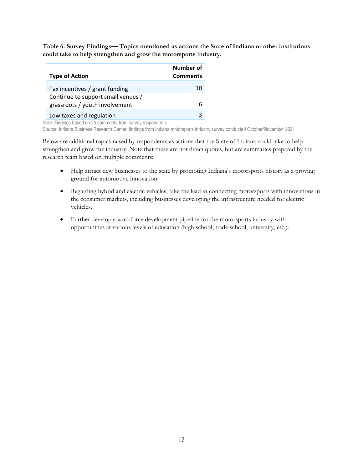<span id="page-13-0"></span>**Table 6: Survey Findings— Topics mentioned as actions the State of Indiana or other institutions could take to help strengthen and grow the motorsports industry.**

| <b>Type of Action</b>              | Number of<br><b>Comments</b> |
|------------------------------------|------------------------------|
| Tax incentives / grant funding     | 10                           |
| Continue to support small venues / |                              |
| grassroots / youth involvement     | 6                            |
| Low taxes and regulation           | ς                            |

Note: Findings based on 25 comments from survey respondents

Source: Indiana Business Research Center, findings from Indiana motorsports industry survey conducted October/November 2021

Below are additional topics raised by respondents as actions that the State of Indiana could take to help strengthen and grow the industry. Note that these are not direct quotes, but are summaries prepared by the research team based on multiple comments:

- Help attract new businesses to the state by promoting Indiana's motorsports history as a proving ground for automotive innovation.
- Regarding hybrid and electric vehicles, take the lead in connecting motorsports with innovations in the consumer markets, including businesses developing the infrastructure needed for electric vehicles.
- Further develop a workforce development pipeline for the motorsports industry with opportunities at various levels of education (high school, trade school, university, etc.).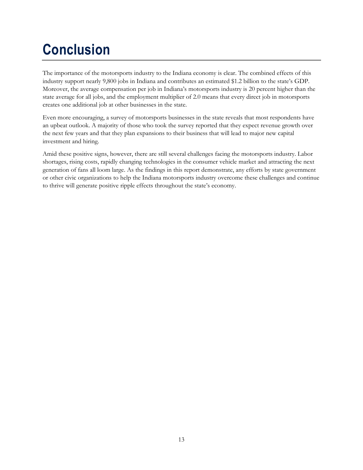# <span id="page-14-0"></span>**Conclusion**

The importance of the motorsports industry to the Indiana economy is clear. The combined effects of this industry support nearly 9,800 jobs in Indiana and contributes an estimated \$1.2 billion to the state's GDP. Moreover, the average compensation per job in Indiana's motorsports industry is 20 percent higher than the state average for all jobs, and the employment multiplier of 2.0 means that every direct job in motorsports creates one additional job at other businesses in the state.

Even more encouraging, a survey of motorsports businesses in the state reveals that most respondents have an upbeat outlook. A majority of those who took the survey reported that they expect revenue growth over the next few years and that they plan expansions to their business that will lead to major new capital investment and hiring.

Amid these positive signs, however, there are still several challenges facing the motorsports industry. Labor shortages, rising costs, rapidly changing technologies in the consumer vehicle market and attracting the next generation of fans all loom large. As the findings in this report demonstrate, any efforts by state government or other civic organizations to help the Indiana motorsports industry overcome these challenges and continue to thrive will generate positive ripple effects throughout the state's economy.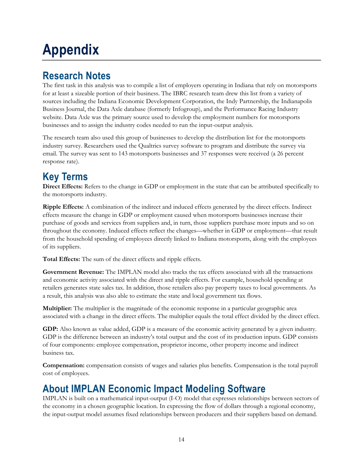# <span id="page-15-0"></span>**Appendix**

### <span id="page-15-1"></span>**Research Notes**

The first task in this analysis was to compile a list of employers operating in Indiana that rely on motorsports for at least a sizeable portion of their business. The IBRC research team drew this list from a variety of sources including the Indiana Economic Development Corporation, the Indy Partnership, the Indianapolis Business Journal, the Data Axle database (formerly Infogroup), and the Performance Racing Industry website. Data Axle was the primary source used to develop the employment numbers for motorsports businesses and to assign the industry codes needed to run the input-output analysis.

The research team also used this group of businesses to develop the distribution list for the motorsports industry survey. Researchers used the Qualtrics survey software to program and distribute the survey via email. The survey was sent to 143 motorsports businesses and 37 responses were received (a 26 percent response rate).

### <span id="page-15-2"></span>**Key Terms**

**Direct Effects:** Refers to the change in GDP or employment in the state that can be attributed specifically to the motorsports industry.

**Ripple Effects:** A combination of the indirect and induced effects generated by the direct effects. Indirect effects measure the change in GDP or employment caused when motorsports businesses increase their purchase of goods and services from suppliers and, in turn, those suppliers purchase more inputs and so on throughout the economy. Induced effects reflect the changes—whether in GDP or employment—that result from the household spending of employees directly linked to Indiana motorsports, along with the employees of its suppliers.

**Total Effects:** The sum of the direct effects and ripple effects.

**Government Revenue:** The IMPLAN model also tracks the tax effects associated with all the transactions and economic activity associated with the direct and ripple effects. For example, household spending at retailers generates state sales tax. In addition, those retailers also pay property taxes to local governments. As a result, this analysis was also able to estimate the state and local government tax flows.

**Multiplier:** The multiplier is the magnitude of the economic response in a particular geographic area associated with a change in the direct effects. The multiplier equals the total effect divided by the direct effect.

**GDP:** Also known as value added, GDP is a measure of the economic activity generated by a given industry. GDP is the difference between an industry's total output and the cost of its production inputs. GDP consists of four components: employee compensation, proprietor income, other property income and indirect business tax.

**Compensation:** compensation consists of wages and salaries plus benefits. Compensation is the total payroll cost of employees.

### <span id="page-15-3"></span>**About IMPLAN Economic Impact Modeling Software**

IMPLAN is built on a mathematical input-output (I-O) model that expresses relationships between sectors of the economy in a chosen geographic location. In expressing the flow of dollars through a regional economy, the input-output model assumes fixed relationships between producers and their suppliers based on demand.